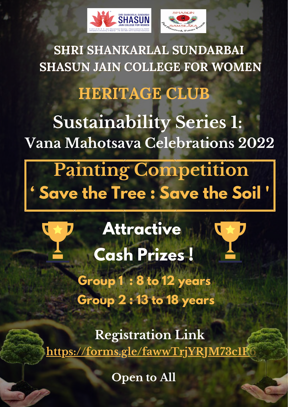# **Attractive Cash Prizes ! Group 1 : 8 to 12 years Group 2 : 13 to 18 years**

**Registration Link <https://forms.gle/fawwTrjYRJM73c1P6>**





# **SHRI SHANKARLAL SUNDARBAI SHASUN JAIN COLLEGE FOR WOMEN HERITAGE CLUB Sustainability Series 1: Vana Mahotsava Celebrations 2022**

## **Painting Competition ' Save the Tree : Save the Soil '**

**Open to All**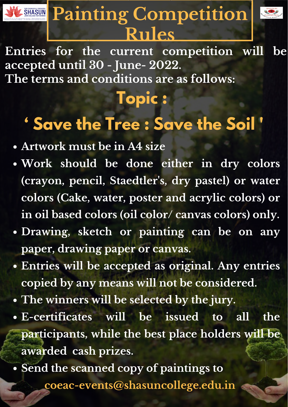#### **Topic :**

### **' Save the Tree : Save the Soil '**

## **SHASUN Painting Competition Rules**



**Entries for the current competition will be accepted until 30 - June- 2022. The terms and conditions are as follows:**

- **Artwork must be in A4 size**
- **Work should be done either in dry colors (crayon, pencil, Staedtler 's, dry pastel) or water colors (Cake, water, poster and acrylic colors) or in oil based colors (oil color/ canvas colors) only.**
	-
- **Drawing, sketch or painting can be on any paper, drawing paper or canvas.**
- **Entries will be accepted as original. Any entries copied by any means will not be considered.**
- **The winners will be selected by the jury.**
- **E-certificates will be issued to all the participants, while the best place holders will be awarded cash prizes.**
- **Send the scanned copy of paintings to coeac-events@shasuncollege.edu.in**